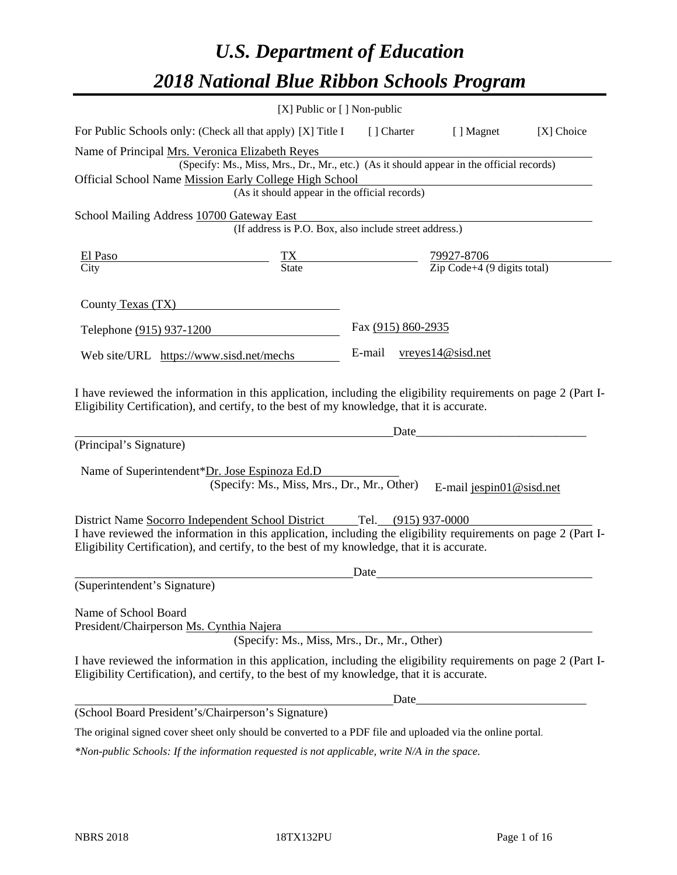# *U.S. Department of Education 2018 National Blue Ribbon Schools Program*

|                                                                                                                                                                                                              | [X] Public or [] Non-public                                                              |                                                         |                    |                          |                                                                                                                      |
|--------------------------------------------------------------------------------------------------------------------------------------------------------------------------------------------------------------|------------------------------------------------------------------------------------------|---------------------------------------------------------|--------------------|--------------------------|----------------------------------------------------------------------------------------------------------------------|
| For Public Schools only: (Check all that apply) [X] Title I                                                                                                                                                  |                                                                                          | [ ] Charter                                             |                    | [ ] Magnet               | [X] Choice                                                                                                           |
| Name of Principal Mrs. Veronica Elizabeth Reyes                                                                                                                                                              |                                                                                          |                                                         |                    |                          |                                                                                                                      |
|                                                                                                                                                                                                              | (Specify: Ms., Miss, Mrs., Dr., Mr., etc.) (As it should appear in the official records) |                                                         |                    |                          |                                                                                                                      |
| Official School Name Mission Early College High School                                                                                                                                                       |                                                                                          |                                                         |                    |                          |                                                                                                                      |
|                                                                                                                                                                                                              | (As it should appear in the official records)                                            |                                                         |                    |                          |                                                                                                                      |
| School Mailing Address 10700 Gateway East                                                                                                                                                                    | (If address is P.O. Box, also include street address.)                                   |                                                         |                    |                          |                                                                                                                      |
| El Paso                                                                                                                                                                                                      |                                                                                          | $\frac{79927-8706}{\text{Zip Code}+4 (9 digits total)}$ |                    |                          |                                                                                                                      |
| City                                                                                                                                                                                                         | $\frac{TX}{State}$                                                                       |                                                         |                    |                          |                                                                                                                      |
| County Texas (TX)                                                                                                                                                                                            |                                                                                          |                                                         |                    |                          |                                                                                                                      |
| Telephone (915) 937-1200                                                                                                                                                                                     |                                                                                          |                                                         | Fax (915) 860-2935 |                          |                                                                                                                      |
| Web site/URL https://www.sisd.net/mechs                                                                                                                                                                      |                                                                                          | E-mail                                                  | vreyes14@sisd.net  |                          |                                                                                                                      |
| (Principal's Signature)<br>Name of Superintendent*Dr. Jose Espinoza Ed.D                                                                                                                                     | (Specify: Ms., Miss, Mrs., Dr., Mr., Other)                                              |                                                         | Date_              | E-mail jespin01@sisd.net |                                                                                                                      |
|                                                                                                                                                                                                              |                                                                                          |                                                         |                    |                          |                                                                                                                      |
| District Name Socorro Independent School District Tel. (915) 937-0000                                                                                                                                        |                                                                                          |                                                         |                    |                          |                                                                                                                      |
| I have reviewed the information in this application, including the eligibility requirements on page 2 (Part I-<br>Eligibility Certification), and certify, to the best of my knowledge, that it is accurate. |                                                                                          |                                                         |                    |                          |                                                                                                                      |
|                                                                                                                                                                                                              |                                                                                          | Date                                                    |                    |                          |                                                                                                                      |
| (Superintendent's Signature)                                                                                                                                                                                 |                                                                                          |                                                         |                    |                          |                                                                                                                      |
| Name of School Board<br>President/Chairperson Ms. Cynthia Najera                                                                                                                                             | (Specify: Ms., Miss, Mrs., Dr., Mr., Other)                                              |                                                         |                    |                          |                                                                                                                      |
| I have reviewed the information in this application, including the eligibility requirements on page 2 (Part I-<br>Eligibility Certification), and certify, to the best of my knowledge, that it is accurate. |                                                                                          |                                                         |                    |                          |                                                                                                                      |
|                                                                                                                                                                                                              |                                                                                          |                                                         | Date               |                          | <u> 1980 - Johann John Stone, mars eta bat eta bat eta bat eta bat ez arte eta bat eta bat ez arte eta bat eta b</u> |
| (School Board President's/Chairperson's Signature)                                                                                                                                                           |                                                                                          |                                                         |                    |                          |                                                                                                                      |
| The original signed cover sheet only should be converted to a PDF file and uploaded via the online portal.                                                                                                   |                                                                                          |                                                         |                    |                          |                                                                                                                      |

*\*Non-public Schools: If the information requested is not applicable, write N/A in the space.*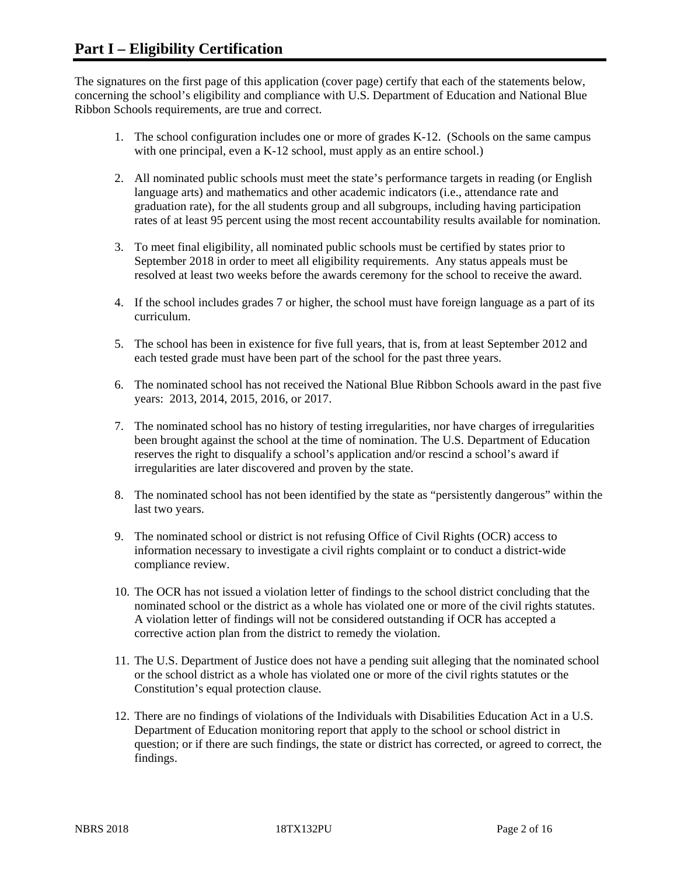The signatures on the first page of this application (cover page) certify that each of the statements below, concerning the school's eligibility and compliance with U.S. Department of Education and National Blue Ribbon Schools requirements, are true and correct.

- 1. The school configuration includes one or more of grades K-12. (Schools on the same campus with one principal, even a K-12 school, must apply as an entire school.)
- 2. All nominated public schools must meet the state's performance targets in reading (or English language arts) and mathematics and other academic indicators (i.e., attendance rate and graduation rate), for the all students group and all subgroups, including having participation rates of at least 95 percent using the most recent accountability results available for nomination.
- 3. To meet final eligibility, all nominated public schools must be certified by states prior to September 2018 in order to meet all eligibility requirements. Any status appeals must be resolved at least two weeks before the awards ceremony for the school to receive the award.
- 4. If the school includes grades 7 or higher, the school must have foreign language as a part of its curriculum.
- 5. The school has been in existence for five full years, that is, from at least September 2012 and each tested grade must have been part of the school for the past three years.
- 6. The nominated school has not received the National Blue Ribbon Schools award in the past five years: 2013, 2014, 2015, 2016, or 2017.
- 7. The nominated school has no history of testing irregularities, nor have charges of irregularities been brought against the school at the time of nomination. The U.S. Department of Education reserves the right to disqualify a school's application and/or rescind a school's award if irregularities are later discovered and proven by the state.
- 8. The nominated school has not been identified by the state as "persistently dangerous" within the last two years.
- 9. The nominated school or district is not refusing Office of Civil Rights (OCR) access to information necessary to investigate a civil rights complaint or to conduct a district-wide compliance review.
- 10. The OCR has not issued a violation letter of findings to the school district concluding that the nominated school or the district as a whole has violated one or more of the civil rights statutes. A violation letter of findings will not be considered outstanding if OCR has accepted a corrective action plan from the district to remedy the violation.
- 11. The U.S. Department of Justice does not have a pending suit alleging that the nominated school or the school district as a whole has violated one or more of the civil rights statutes or the Constitution's equal protection clause.
- 12. There are no findings of violations of the Individuals with Disabilities Education Act in a U.S. Department of Education monitoring report that apply to the school or school district in question; or if there are such findings, the state or district has corrected, or agreed to correct, the findings.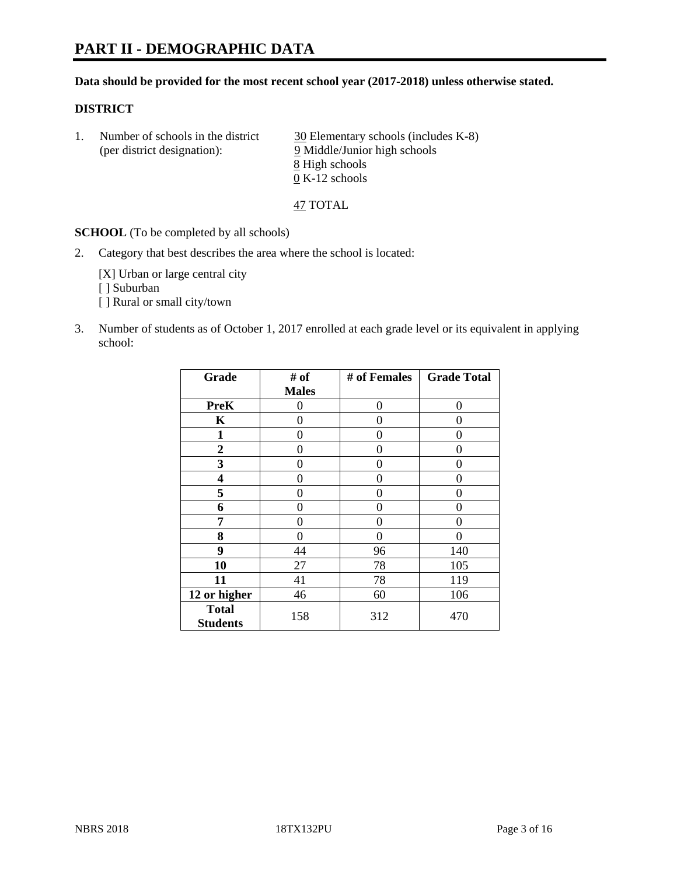# **PART II - DEMOGRAPHIC DATA**

#### **Data should be provided for the most recent school year (2017-2018) unless otherwise stated.**

#### **DISTRICT**

1. Number of schools in the district  $\frac{30}{20}$  Elementary schools (includes K-8) (per district designation): 9 Middle/Junior high schools 8 High schools 0 K-12 schools

47 TOTAL

**SCHOOL** (To be completed by all schools)

2. Category that best describes the area where the school is located:

[X] Urban or large central city [ ] Suburban [] Rural or small city/town

3. Number of students as of October 1, 2017 enrolled at each grade level or its equivalent in applying school:

| Grade                           | # of         | # of Females | <b>Grade Total</b> |
|---------------------------------|--------------|--------------|--------------------|
|                                 | <b>Males</b> |              |                    |
| <b>PreK</b>                     | 0            | $\theta$     | 0                  |
| $\mathbf K$                     | 0            | 0            | 0                  |
| $\mathbf{1}$                    | 0            | 0            | 0                  |
| 2                               | 0            | 0            | 0                  |
| 3                               | 0            | 0            | 0                  |
| 4                               | 0            | 0            | 0                  |
| 5                               | 0            | 0            | 0                  |
| 6                               | 0            | 0            | 0                  |
| 7                               | 0            | 0            | 0                  |
| 8                               | 0            | 0            | 0                  |
| 9                               | 44           | 96           | 140                |
| 10                              | 27           | 78           | 105                |
| 11                              | 41           | 78           | 119                |
| 12 or higher                    | 46           | 60           | 106                |
| <b>Total</b><br><b>Students</b> | 158          | 312          | 470                |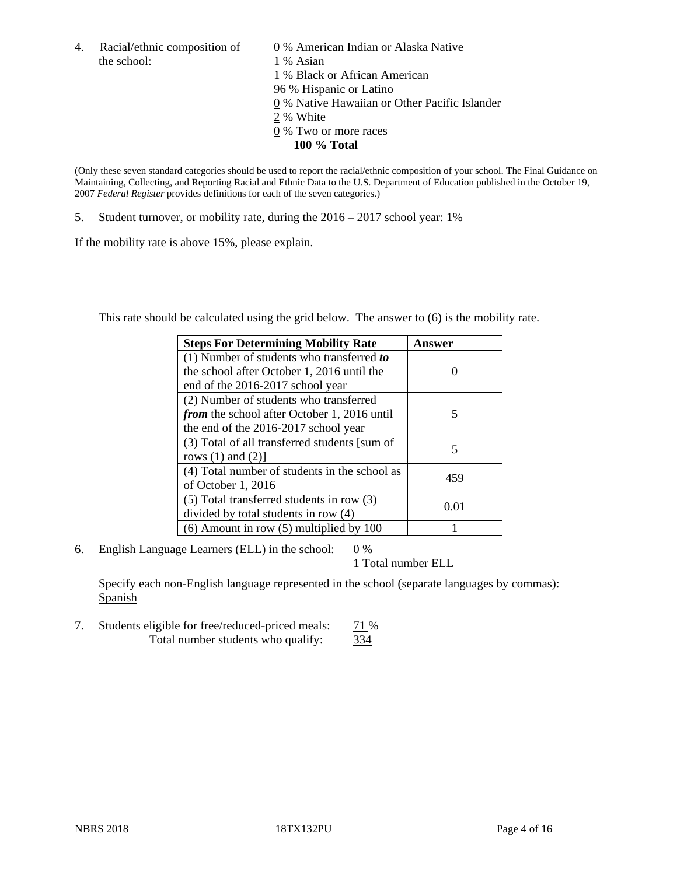the school: 1 % Asian

4. Racial/ethnic composition of  $\qquad 0\%$  American Indian or Alaska Native 1 % Black or African American 96 % Hispanic or Latino 0 % Native Hawaiian or Other Pacific Islander 2 % White 0 % Two or more races **100 % Total**

(Only these seven standard categories should be used to report the racial/ethnic composition of your school. The Final Guidance on Maintaining, Collecting, and Reporting Racial and Ethnic Data to the U.S. Department of Education published in the October 19, 2007 *Federal Register* provides definitions for each of the seven categories.)

5. Student turnover, or mobility rate, during the 2016 – 2017 school year: 1%

If the mobility rate is above 15%, please explain.

This rate should be calculated using the grid below. The answer to (6) is the mobility rate.

| <b>Steps For Determining Mobility Rate</b>         | Answer |
|----------------------------------------------------|--------|
| $(1)$ Number of students who transferred to        |        |
| the school after October 1, 2016 until the         |        |
| end of the 2016-2017 school year                   |        |
| (2) Number of students who transferred             |        |
| <i>from</i> the school after October 1, 2016 until | 5      |
| the end of the 2016-2017 school year               |        |
| (3) Total of all transferred students [sum of      |        |
| rows $(1)$ and $(2)$ ]                             | 5      |
| (4) Total number of students in the school as      |        |
| of October 1, 2016                                 | 459    |
| (5) Total transferred students in row (3)          |        |
| divided by total students in row (4)               | 0.01   |
| $(6)$ Amount in row $(5)$ multiplied by 100        |        |

6. English Language Learners (ELL) in the school:  $0\%$ 

1 Total number ELL

Specify each non-English language represented in the school (separate languages by commas): Spanish

7. Students eligible for free/reduced-priced meals: 71 % Total number students who qualify: 334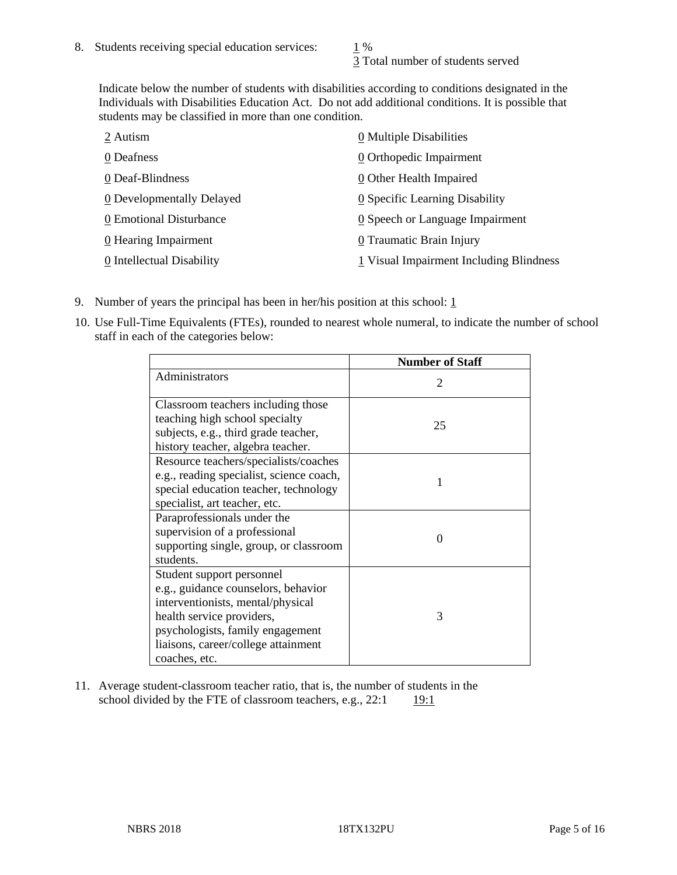3 Total number of students served

Indicate below the number of students with disabilities according to conditions designated in the Individuals with Disabilities Education Act. Do not add additional conditions. It is possible that students may be classified in more than one condition.

| 2 Autism                  | 0 Multiple Disabilities                   |
|---------------------------|-------------------------------------------|
| 0 Deafness                | 0 Orthopedic Impairment                   |
| 0 Deaf-Blindness          | 0 Other Health Impaired                   |
| 0 Developmentally Delayed | 0 Specific Learning Disability            |
| 0 Emotional Disturbance   | 0 Speech or Language Impairment           |
| 0 Hearing Impairment      | 0 Traumatic Brain Injury                  |
| 0 Intellectual Disability | $1$ Visual Impairment Including Blindness |

- 9. Number of years the principal has been in her/his position at this school:  $1$
- 10. Use Full-Time Equivalents (FTEs), rounded to nearest whole numeral, to indicate the number of school staff in each of the categories below:

|                                                                                                                                                                                                                                | <b>Number of Staff</b>      |
|--------------------------------------------------------------------------------------------------------------------------------------------------------------------------------------------------------------------------------|-----------------------------|
| Administrators                                                                                                                                                                                                                 | $\mathcal{D}_{\mathcal{A}}$ |
| Classroom teachers including those<br>teaching high school specialty                                                                                                                                                           | 25                          |
| subjects, e.g., third grade teacher,<br>history teacher, algebra teacher.                                                                                                                                                      |                             |
| Resource teachers/specialists/coaches<br>e.g., reading specialist, science coach,<br>special education teacher, technology<br>specialist, art teacher, etc.                                                                    |                             |
| Paraprofessionals under the<br>supervision of a professional<br>supporting single, group, or classroom<br>students.                                                                                                            | $\Omega$                    |
| Student support personnel<br>e.g., guidance counselors, behavior<br>interventionists, mental/physical<br>health service providers,<br>psychologists, family engagement<br>liaisons, career/college attainment<br>coaches, etc. | 3                           |

11. Average student-classroom teacher ratio, that is, the number of students in the school divided by the FTE of classroom teachers, e.g.,  $22:1$  19:1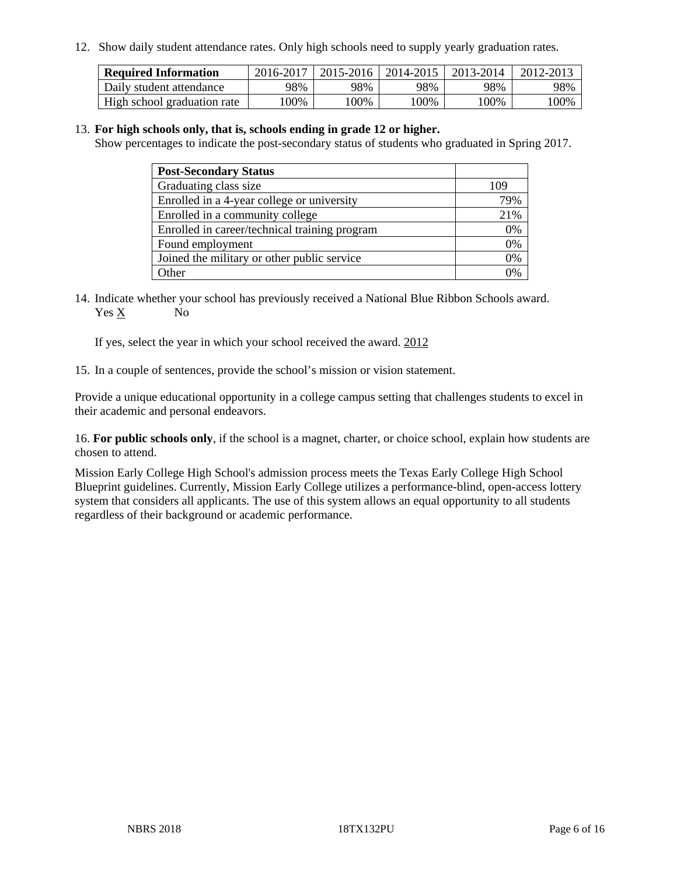12. Show daily student attendance rates. Only high schools need to supply yearly graduation rates.

| <b>Required Information</b> | 2016-2017 | 2015-2016 | 2014-2015 | 2013-2014 | 2012-2013 |
|-----------------------------|-----------|-----------|-----------|-----------|-----------|
| Daily student attendance    | 98%       | 98%       | 98%       | 98%       | 98%       |
| High school graduation rate | 100%      | 00%       | 00%       | 100%      | 00%       |

#### 13. **For high schools only, that is, schools ending in grade 12 or higher.**

Show percentages to indicate the post-secondary status of students who graduated in Spring 2017.

| <b>Post-Secondary Status</b>                  |     |
|-----------------------------------------------|-----|
| Graduating class size                         | 109 |
| Enrolled in a 4-year college or university    | 79% |
| Enrolled in a community college               | 21% |
| Enrolled in career/technical training program | 0%  |
| Found employment                              | 0%  |
| Joined the military or other public service   | 0%  |
| Other                                         | 0/  |

14. Indicate whether your school has previously received a National Blue Ribbon Schools award. Yes X No

If yes, select the year in which your school received the award. 2012

15. In a couple of sentences, provide the school's mission or vision statement.

Provide a unique educational opportunity in a college campus setting that challenges students to excel in their academic and personal endeavors.

16. **For public schools only**, if the school is a magnet, charter, or choice school, explain how students are chosen to attend.

Mission Early College High School's admission process meets the Texas Early College High School Blueprint guidelines. Currently, Mission Early College utilizes a performance-blind, open-access lottery system that considers all applicants. The use of this system allows an equal opportunity to all students regardless of their background or academic performance.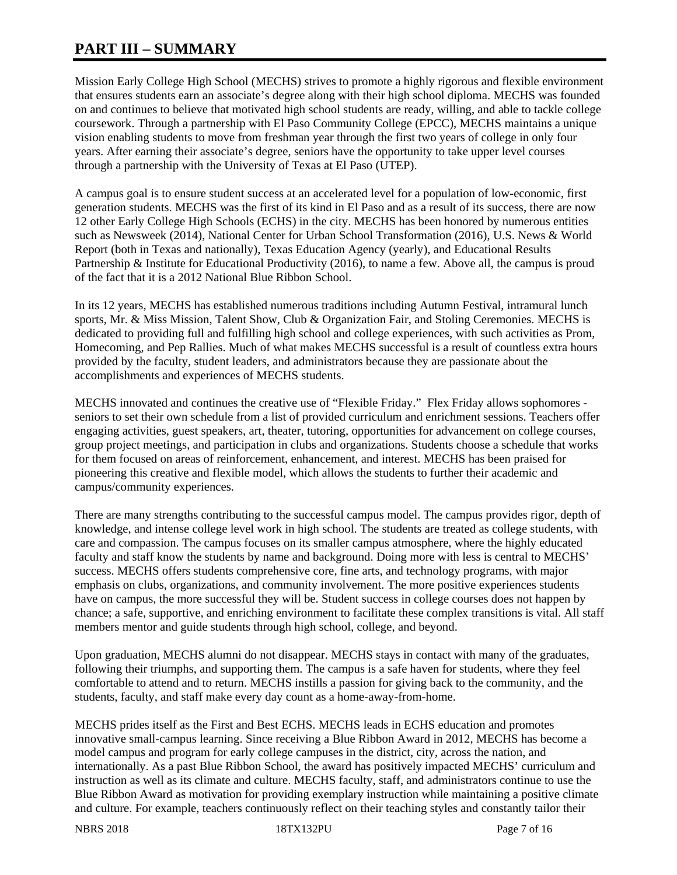# **PART III – SUMMARY**

Mission Early College High School (MECHS) strives to promote a highly rigorous and flexible environment that ensures students earn an associate's degree along with their high school diploma. MECHS was founded on and continues to believe that motivated high school students are ready, willing, and able to tackle college coursework. Through a partnership with El Paso Community College (EPCC), MECHS maintains a unique vision enabling students to move from freshman year through the first two years of college in only four years. After earning their associate's degree, seniors have the opportunity to take upper level courses through a partnership with the University of Texas at El Paso (UTEP).

A campus goal is to ensure student success at an accelerated level for a population of low-economic, first generation students. MECHS was the first of its kind in El Paso and as a result of its success, there are now 12 other Early College High Schools (ECHS) in the city. MECHS has been honored by numerous entities such as Newsweek (2014), National Center for Urban School Transformation (2016), U.S. News & World Report (both in Texas and nationally), Texas Education Agency (yearly), and Educational Results Partnership & Institute for Educational Productivity (2016), to name a few. Above all, the campus is proud of the fact that it is a 2012 National Blue Ribbon School.

In its 12 years, MECHS has established numerous traditions including Autumn Festival, intramural lunch sports, Mr. & Miss Mission, Talent Show, Club & Organization Fair, and Stoling Ceremonies. MECHS is dedicated to providing full and fulfilling high school and college experiences, with such activities as Prom, Homecoming, and Pep Rallies. Much of what makes MECHS successful is a result of countless extra hours provided by the faculty, student leaders, and administrators because they are passionate about the accomplishments and experiences of MECHS students.

MECHS innovated and continues the creative use of "Flexible Friday." Flex Friday allows sophomores seniors to set their own schedule from a list of provided curriculum and enrichment sessions. Teachers offer engaging activities, guest speakers, art, theater, tutoring, opportunities for advancement on college courses, group project meetings, and participation in clubs and organizations. Students choose a schedule that works for them focused on areas of reinforcement, enhancement, and interest. MECHS has been praised for pioneering this creative and flexible model, which allows the students to further their academic and campus/community experiences.

There are many strengths contributing to the successful campus model. The campus provides rigor, depth of knowledge, and intense college level work in high school. The students are treated as college students, with care and compassion. The campus focuses on its smaller campus atmosphere, where the highly educated faculty and staff know the students by name and background. Doing more with less is central to MECHS' success. MECHS offers students comprehensive core, fine arts, and technology programs, with major emphasis on clubs, organizations, and community involvement. The more positive experiences students have on campus, the more successful they will be. Student success in college courses does not happen by chance; a safe, supportive, and enriching environment to facilitate these complex transitions is vital. All staff members mentor and guide students through high school, college, and beyond.

Upon graduation, MECHS alumni do not disappear. MECHS stays in contact with many of the graduates, following their triumphs, and supporting them. The campus is a safe haven for students, where they feel comfortable to attend and to return. MECHS instills a passion for giving back to the community, and the students, faculty, and staff make every day count as a home-away-from-home.

MECHS prides itself as the First and Best ECHS. MECHS leads in ECHS education and promotes innovative small-campus learning. Since receiving a Blue Ribbon Award in 2012, MECHS has become a model campus and program for early college campuses in the district, city, across the nation, and internationally. As a past Blue Ribbon School, the award has positively impacted MECHS' curriculum and instruction as well as its climate and culture. MECHS faculty, staff, and administrators continue to use the Blue Ribbon Award as motivation for providing exemplary instruction while maintaining a positive climate and culture. For example, teachers continuously reflect on their teaching styles and constantly tailor their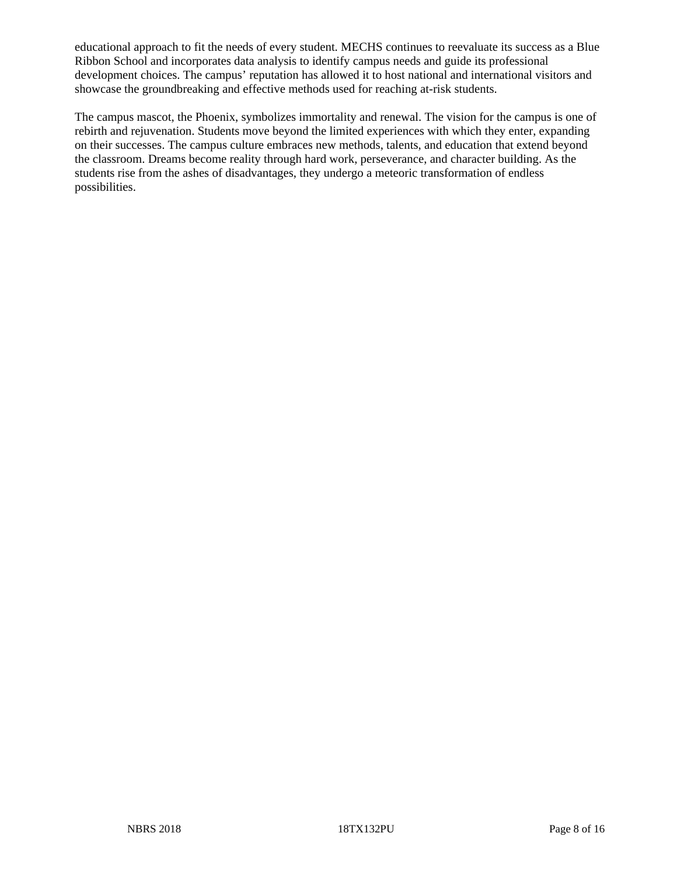educational approach to fit the needs of every student. MECHS continues to reevaluate its success as a Blue Ribbon School and incorporates data analysis to identify campus needs and guide its professional development choices. The campus' reputation has allowed it to host national and international visitors and showcase the groundbreaking and effective methods used for reaching at-risk students.

The campus mascot, the Phoenix, symbolizes immortality and renewal. The vision for the campus is one of rebirth and rejuvenation. Students move beyond the limited experiences with which they enter, expanding on their successes. The campus culture embraces new methods, talents, and education that extend beyond the classroom. Dreams become reality through hard work, perseverance, and character building. As the students rise from the ashes of disadvantages, they undergo a meteoric transformation of endless possibilities.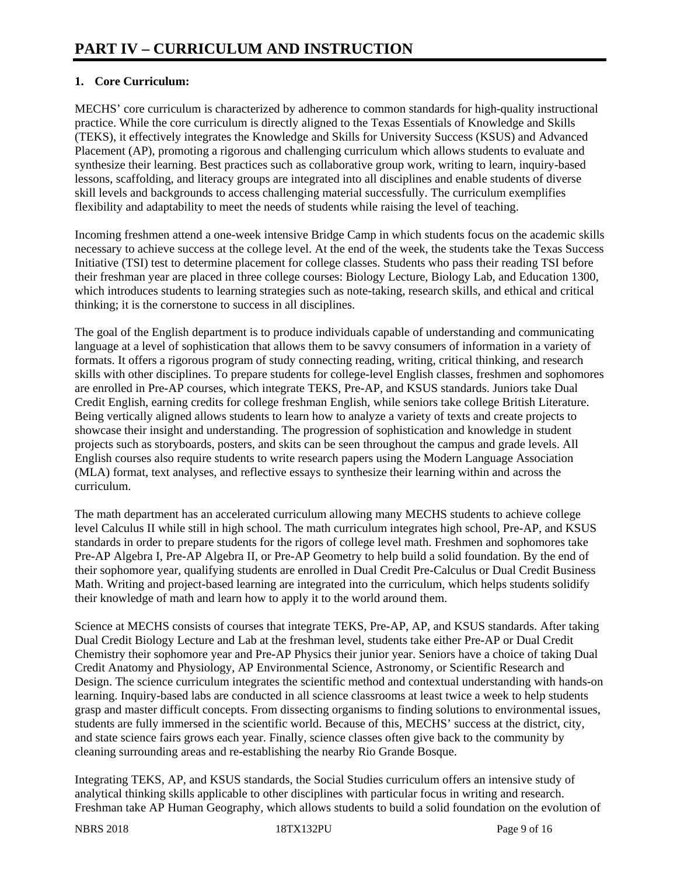# **1. Core Curriculum:**

MECHS' core curriculum is characterized by adherence to common standards for high-quality instructional practice. While the core curriculum is directly aligned to the Texas Essentials of Knowledge and Skills (TEKS), it effectively integrates the Knowledge and Skills for University Success (KSUS) and Advanced Placement (AP), promoting a rigorous and challenging curriculum which allows students to evaluate and synthesize their learning. Best practices such as collaborative group work, writing to learn, inquiry-based lessons, scaffolding, and literacy groups are integrated into all disciplines and enable students of diverse skill levels and backgrounds to access challenging material successfully. The curriculum exemplifies flexibility and adaptability to meet the needs of students while raising the level of teaching.

Incoming freshmen attend a one-week intensive Bridge Camp in which students focus on the academic skills necessary to achieve success at the college level. At the end of the week, the students take the Texas Success Initiative (TSI) test to determine placement for college classes. Students who pass their reading TSI before their freshman year are placed in three college courses: Biology Lecture, Biology Lab, and Education 1300, which introduces students to learning strategies such as note-taking, research skills, and ethical and critical thinking; it is the cornerstone to success in all disciplines.

The goal of the English department is to produce individuals capable of understanding and communicating language at a level of sophistication that allows them to be savvy consumers of information in a variety of formats. It offers a rigorous program of study connecting reading, writing, critical thinking, and research skills with other disciplines. To prepare students for college-level English classes, freshmen and sophomores are enrolled in Pre-AP courses, which integrate TEKS, Pre-AP, and KSUS standards. Juniors take Dual Credit English, earning credits for college freshman English, while seniors take college British Literature. Being vertically aligned allows students to learn how to analyze a variety of texts and create projects to showcase their insight and understanding. The progression of sophistication and knowledge in student projects such as storyboards, posters, and skits can be seen throughout the campus and grade levels. All English courses also require students to write research papers using the Modern Language Association (MLA) format, text analyses, and reflective essays to synthesize their learning within and across the curriculum.

The math department has an accelerated curriculum allowing many MECHS students to achieve college level Calculus II while still in high school. The math curriculum integrates high school, Pre-AP, and KSUS standards in order to prepare students for the rigors of college level math. Freshmen and sophomores take Pre-AP Algebra I, Pre-AP Algebra II, or Pre-AP Geometry to help build a solid foundation. By the end of their sophomore year, qualifying students are enrolled in Dual Credit Pre-Calculus or Dual Credit Business Math. Writing and project-based learning are integrated into the curriculum, which helps students solidify their knowledge of math and learn how to apply it to the world around them.

Science at MECHS consists of courses that integrate TEKS, Pre-AP, AP, and KSUS standards. After taking Dual Credit Biology Lecture and Lab at the freshman level, students take either Pre-AP or Dual Credit Chemistry their sophomore year and Pre-AP Physics their junior year. Seniors have a choice of taking Dual Credit Anatomy and Physiology, AP Environmental Science, Astronomy, or Scientific Research and Design. The science curriculum integrates the scientific method and contextual understanding with hands-on learning. Inquiry-based labs are conducted in all science classrooms at least twice a week to help students grasp and master difficult concepts. From dissecting organisms to finding solutions to environmental issues, students are fully immersed in the scientific world. Because of this, MECHS' success at the district, city, and state science fairs grows each year. Finally, science classes often give back to the community by cleaning surrounding areas and re-establishing the nearby Rio Grande Bosque.

Integrating TEKS, AP, and KSUS standards, the Social Studies curriculum offers an intensive study of analytical thinking skills applicable to other disciplines with particular focus in writing and research. Freshman take AP Human Geography, which allows students to build a solid foundation on the evolution of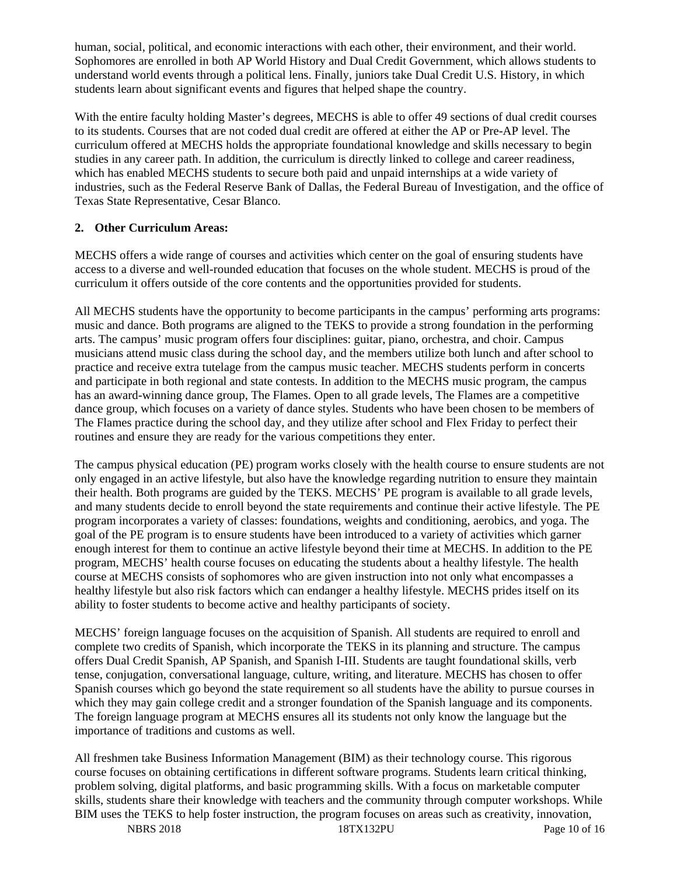human, social, political, and economic interactions with each other, their environment, and their world. Sophomores are enrolled in both AP World History and Dual Credit Government, which allows students to understand world events through a political lens. Finally, juniors take Dual Credit U.S. History, in which students learn about significant events and figures that helped shape the country.

With the entire faculty holding Master's degrees, MECHS is able to offer 49 sections of dual credit courses to its students. Courses that are not coded dual credit are offered at either the AP or Pre-AP level. The curriculum offered at MECHS holds the appropriate foundational knowledge and skills necessary to begin studies in any career path. In addition, the curriculum is directly linked to college and career readiness, which has enabled MECHS students to secure both paid and unpaid internships at a wide variety of industries, such as the Federal Reserve Bank of Dallas, the Federal Bureau of Investigation, and the office of Texas State Representative, Cesar Blanco.

# **2. Other Curriculum Areas:**

MECHS offers a wide range of courses and activities which center on the goal of ensuring students have access to a diverse and well-rounded education that focuses on the whole student. MECHS is proud of the curriculum it offers outside of the core contents and the opportunities provided for students.

All MECHS students have the opportunity to become participants in the campus' performing arts programs: music and dance. Both programs are aligned to the TEKS to provide a strong foundation in the performing arts. The campus' music program offers four disciplines: guitar, piano, orchestra, and choir. Campus musicians attend music class during the school day, and the members utilize both lunch and after school to practice and receive extra tutelage from the campus music teacher. MECHS students perform in concerts and participate in both regional and state contests. In addition to the MECHS music program, the campus has an award-winning dance group, The Flames. Open to all grade levels, The Flames are a competitive dance group, which focuses on a variety of dance styles. Students who have been chosen to be members of The Flames practice during the school day, and they utilize after school and Flex Friday to perfect their routines and ensure they are ready for the various competitions they enter.

The campus physical education (PE) program works closely with the health course to ensure students are not only engaged in an active lifestyle, but also have the knowledge regarding nutrition to ensure they maintain their health. Both programs are guided by the TEKS. MECHS' PE program is available to all grade levels, and many students decide to enroll beyond the state requirements and continue their active lifestyle. The PE program incorporates a variety of classes: foundations, weights and conditioning, aerobics, and yoga. The goal of the PE program is to ensure students have been introduced to a variety of activities which garner enough interest for them to continue an active lifestyle beyond their time at MECHS. In addition to the PE program, MECHS' health course focuses on educating the students about a healthy lifestyle. The health course at MECHS consists of sophomores who are given instruction into not only what encompasses a healthy lifestyle but also risk factors which can endanger a healthy lifestyle. MECHS prides itself on its ability to foster students to become active and healthy participants of society.

MECHS' foreign language focuses on the acquisition of Spanish. All students are required to enroll and complete two credits of Spanish, which incorporate the TEKS in its planning and structure. The campus offers Dual Credit Spanish, AP Spanish, and Spanish I-III. Students are taught foundational skills, verb tense, conjugation, conversational language, culture, writing, and literature. MECHS has chosen to offer Spanish courses which go beyond the state requirement so all students have the ability to pursue courses in which they may gain college credit and a stronger foundation of the Spanish language and its components. The foreign language program at MECHS ensures all its students not only know the language but the importance of traditions and customs as well.

All freshmen take Business Information Management (BIM) as their technology course. This rigorous course focuses on obtaining certifications in different software programs. Students learn critical thinking, problem solving, digital platforms, and basic programming skills. With a focus on marketable computer skills, students share their knowledge with teachers and the community through computer workshops. While BIM uses the TEKS to help foster instruction, the program focuses on areas such as creativity, innovation,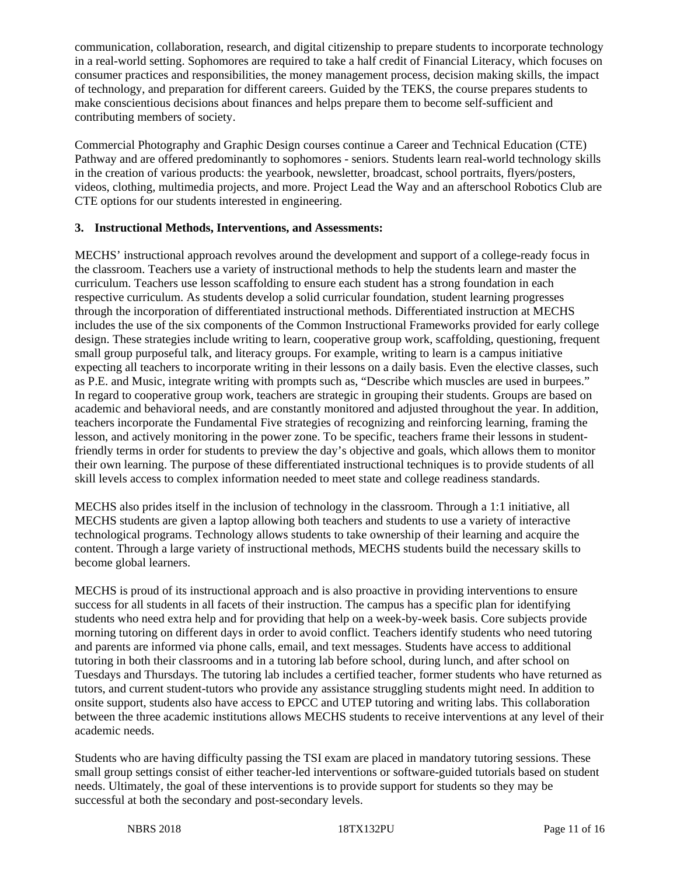communication, collaboration, research, and digital citizenship to prepare students to incorporate technology in a real-world setting. Sophomores are required to take a half credit of Financial Literacy, which focuses on consumer practices and responsibilities, the money management process, decision making skills, the impact of technology, and preparation for different careers. Guided by the TEKS, the course prepares students to make conscientious decisions about finances and helps prepare them to become self-sufficient and contributing members of society.

Commercial Photography and Graphic Design courses continue a Career and Technical Education (CTE) Pathway and are offered predominantly to sophomores - seniors. Students learn real-world technology skills in the creation of various products: the yearbook, newsletter, broadcast, school portraits, flyers/posters, videos, clothing, multimedia projects, and more. Project Lead the Way and an afterschool Robotics Club are CTE options for our students interested in engineering.

## **3. Instructional Methods, Interventions, and Assessments:**

MECHS' instructional approach revolves around the development and support of a college-ready focus in the classroom. Teachers use a variety of instructional methods to help the students learn and master the curriculum. Teachers use lesson scaffolding to ensure each student has a strong foundation in each respective curriculum. As students develop a solid curricular foundation, student learning progresses through the incorporation of differentiated instructional methods. Differentiated instruction at MECHS includes the use of the six components of the Common Instructional Frameworks provided for early college design. These strategies include writing to learn, cooperative group work, scaffolding, questioning, frequent small group purposeful talk, and literacy groups. For example, writing to learn is a campus initiative expecting all teachers to incorporate writing in their lessons on a daily basis. Even the elective classes, such as P.E. and Music, integrate writing with prompts such as, "Describe which muscles are used in burpees." In regard to cooperative group work, teachers are strategic in grouping their students. Groups are based on academic and behavioral needs, and are constantly monitored and adjusted throughout the year. In addition, teachers incorporate the Fundamental Five strategies of recognizing and reinforcing learning, framing the lesson, and actively monitoring in the power zone. To be specific, teachers frame their lessons in studentfriendly terms in order for students to preview the day's objective and goals, which allows them to monitor their own learning. The purpose of these differentiated instructional techniques is to provide students of all skill levels access to complex information needed to meet state and college readiness standards.

MECHS also prides itself in the inclusion of technology in the classroom. Through a 1:1 initiative, all MECHS students are given a laptop allowing both teachers and students to use a variety of interactive technological programs. Technology allows students to take ownership of their learning and acquire the content. Through a large variety of instructional methods, MECHS students build the necessary skills to become global learners.

MECHS is proud of its instructional approach and is also proactive in providing interventions to ensure success for all students in all facets of their instruction. The campus has a specific plan for identifying students who need extra help and for providing that help on a week-by-week basis. Core subjects provide morning tutoring on different days in order to avoid conflict. Teachers identify students who need tutoring and parents are informed via phone calls, email, and text messages. Students have access to additional tutoring in both their classrooms and in a tutoring lab before school, during lunch, and after school on Tuesdays and Thursdays. The tutoring lab includes a certified teacher, former students who have returned as tutors, and current student-tutors who provide any assistance struggling students might need. In addition to onsite support, students also have access to EPCC and UTEP tutoring and writing labs. This collaboration between the three academic institutions allows MECHS students to receive interventions at any level of their academic needs.

Students who are having difficulty passing the TSI exam are placed in mandatory tutoring sessions. These small group settings consist of either teacher-led interventions or software-guided tutorials based on student needs. Ultimately, the goal of these interventions is to provide support for students so they may be successful at both the secondary and post-secondary levels.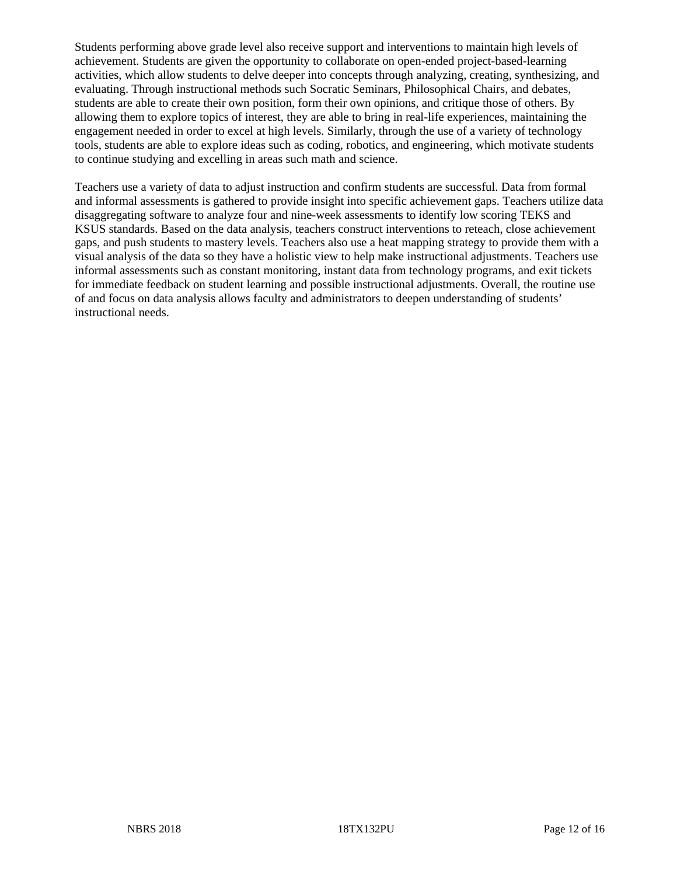Students performing above grade level also receive support and interventions to maintain high levels of achievement. Students are given the opportunity to collaborate on open-ended project-based-learning activities, which allow students to delve deeper into concepts through analyzing, creating, synthesizing, and evaluating. Through instructional methods such Socratic Seminars, Philosophical Chairs, and debates, students are able to create their own position, form their own opinions, and critique those of others. By allowing them to explore topics of interest, they are able to bring in real-life experiences, maintaining the engagement needed in order to excel at high levels. Similarly, through the use of a variety of technology tools, students are able to explore ideas such as coding, robotics, and engineering, which motivate students to continue studying and excelling in areas such math and science.

Teachers use a variety of data to adjust instruction and confirm students are successful. Data from formal and informal assessments is gathered to provide insight into specific achievement gaps. Teachers utilize data disaggregating software to analyze four and nine-week assessments to identify low scoring TEKS and KSUS standards. Based on the data analysis, teachers construct interventions to reteach, close achievement gaps, and push students to mastery levels. Teachers also use a heat mapping strategy to provide them with a visual analysis of the data so they have a holistic view to help make instructional adjustments. Teachers use informal assessments such as constant monitoring, instant data from technology programs, and exit tickets for immediate feedback on student learning and possible instructional adjustments. Overall, the routine use of and focus on data analysis allows faculty and administrators to deepen understanding of students' instructional needs.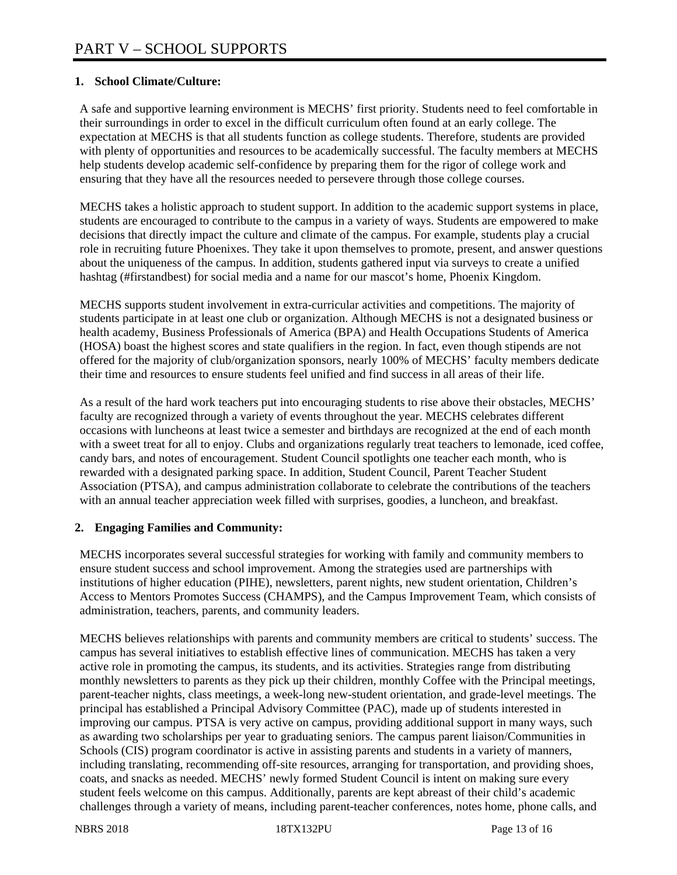## **1. School Climate/Culture:**

A safe and supportive learning environment is MECHS' first priority. Students need to feel comfortable in their surroundings in order to excel in the difficult curriculum often found at an early college. The expectation at MECHS is that all students function as college students. Therefore, students are provided with plenty of opportunities and resources to be academically successful. The faculty members at MECHS help students develop academic self-confidence by preparing them for the rigor of college work and ensuring that they have all the resources needed to persevere through those college courses.

MECHS takes a holistic approach to student support. In addition to the academic support systems in place, students are encouraged to contribute to the campus in a variety of ways. Students are empowered to make decisions that directly impact the culture and climate of the campus. For example, students play a crucial role in recruiting future Phoenixes. They take it upon themselves to promote, present, and answer questions about the uniqueness of the campus. In addition, students gathered input via surveys to create a unified hashtag (#firstandbest) for social media and a name for our mascot's home, Phoenix Kingdom.

MECHS supports student involvement in extra-curricular activities and competitions. The majority of students participate in at least one club or organization. Although MECHS is not a designated business or health academy, Business Professionals of America (BPA) and Health Occupations Students of America (HOSA) boast the highest scores and state qualifiers in the region. In fact, even though stipends are not offered for the majority of club/organization sponsors, nearly 100% of MECHS' faculty members dedicate their time and resources to ensure students feel unified and find success in all areas of their life.

As a result of the hard work teachers put into encouraging students to rise above their obstacles, MECHS' faculty are recognized through a variety of events throughout the year. MECHS celebrates different occasions with luncheons at least twice a semester and birthdays are recognized at the end of each month with a sweet treat for all to enjoy. Clubs and organizations regularly treat teachers to lemonade, iced coffee, candy bars, and notes of encouragement. Student Council spotlights one teacher each month, who is rewarded with a designated parking space. In addition, Student Council, Parent Teacher Student Association (PTSA), and campus administration collaborate to celebrate the contributions of the teachers with an annual teacher appreciation week filled with surprises, goodies, a luncheon, and breakfast.

#### **2. Engaging Families and Community:**

MECHS incorporates several successful strategies for working with family and community members to ensure student success and school improvement. Among the strategies used are partnerships with institutions of higher education (PIHE), newsletters, parent nights, new student orientation, Children's Access to Mentors Promotes Success (CHAMPS), and the Campus Improvement Team, which consists of administration, teachers, parents, and community leaders.

MECHS believes relationships with parents and community members are critical to students' success. The campus has several initiatives to establish effective lines of communication. MECHS has taken a very active role in promoting the campus, its students, and its activities. Strategies range from distributing monthly newsletters to parents as they pick up their children, monthly Coffee with the Principal meetings, parent-teacher nights, class meetings, a week-long new-student orientation, and grade-level meetings. The principal has established a Principal Advisory Committee (PAC), made up of students interested in improving our campus. PTSA is very active on campus, providing additional support in many ways, such as awarding two scholarships per year to graduating seniors. The campus parent liaison/Communities in Schools (CIS) program coordinator is active in assisting parents and students in a variety of manners, including translating, recommending off-site resources, arranging for transportation, and providing shoes, coats, and snacks as needed. MECHS' newly formed Student Council is intent on making sure every student feels welcome on this campus. Additionally, parents are kept abreast of their child's academic challenges through a variety of means, including parent-teacher conferences, notes home, phone calls, and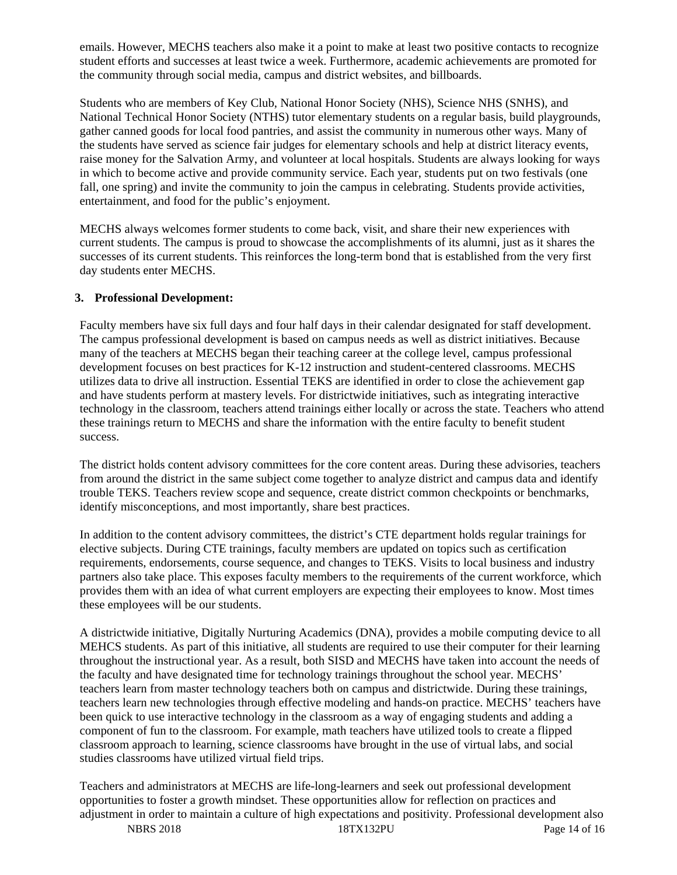emails. However, MECHS teachers also make it a point to make at least two positive contacts to recognize student efforts and successes at least twice a week. Furthermore, academic achievements are promoted for the community through social media, campus and district websites, and billboards.

Students who are members of Key Club, National Honor Society (NHS), Science NHS (SNHS), and National Technical Honor Society (NTHS) tutor elementary students on a regular basis, build playgrounds, gather canned goods for local food pantries, and assist the community in numerous other ways. Many of the students have served as science fair judges for elementary schools and help at district literacy events, raise money for the Salvation Army, and volunteer at local hospitals. Students are always looking for ways in which to become active and provide community service. Each year, students put on two festivals (one fall, one spring) and invite the community to join the campus in celebrating. Students provide activities, entertainment, and food for the public's enjoyment.

MECHS always welcomes former students to come back, visit, and share their new experiences with current students. The campus is proud to showcase the accomplishments of its alumni, just as it shares the successes of its current students. This reinforces the long-term bond that is established from the very first day students enter MECHS.

## **3. Professional Development:**

Faculty members have six full days and four half days in their calendar designated for staff development. The campus professional development is based on campus needs as well as district initiatives. Because many of the teachers at MECHS began their teaching career at the college level, campus professional development focuses on best practices for K-12 instruction and student-centered classrooms. MECHS utilizes data to drive all instruction. Essential TEKS are identified in order to close the achievement gap and have students perform at mastery levels. For districtwide initiatives, such as integrating interactive technology in the classroom, teachers attend trainings either locally or across the state. Teachers who attend these trainings return to MECHS and share the information with the entire faculty to benefit student success.

The district holds content advisory committees for the core content areas. During these advisories, teachers from around the district in the same subject come together to analyze district and campus data and identify trouble TEKS. Teachers review scope and sequence, create district common checkpoints or benchmarks, identify misconceptions, and most importantly, share best practices.

In addition to the content advisory committees, the district's CTE department holds regular trainings for elective subjects. During CTE trainings, faculty members are updated on topics such as certification requirements, endorsements, course sequence, and changes to TEKS. Visits to local business and industry partners also take place. This exposes faculty members to the requirements of the current workforce, which provides them with an idea of what current employers are expecting their employees to know. Most times these employees will be our students.

A districtwide initiative, Digitally Nurturing Academics (DNA), provides a mobile computing device to all MEHCS students. As part of this initiative, all students are required to use their computer for their learning throughout the instructional year. As a result, both SISD and MECHS have taken into account the needs of the faculty and have designated time for technology trainings throughout the school year. MECHS' teachers learn from master technology teachers both on campus and districtwide. During these trainings, teachers learn new technologies through effective modeling and hands-on practice. MECHS' teachers have been quick to use interactive technology in the classroom as a way of engaging students and adding a component of fun to the classroom. For example, math teachers have utilized tools to create a flipped classroom approach to learning, science classrooms have brought in the use of virtual labs, and social studies classrooms have utilized virtual field trips.

NBRS 2018 18TX132PU Page 14 of 16 Teachers and administrators at MECHS are life-long-learners and seek out professional development opportunities to foster a growth mindset. These opportunities allow for reflection on practices and adjustment in order to maintain a culture of high expectations and positivity. Professional development also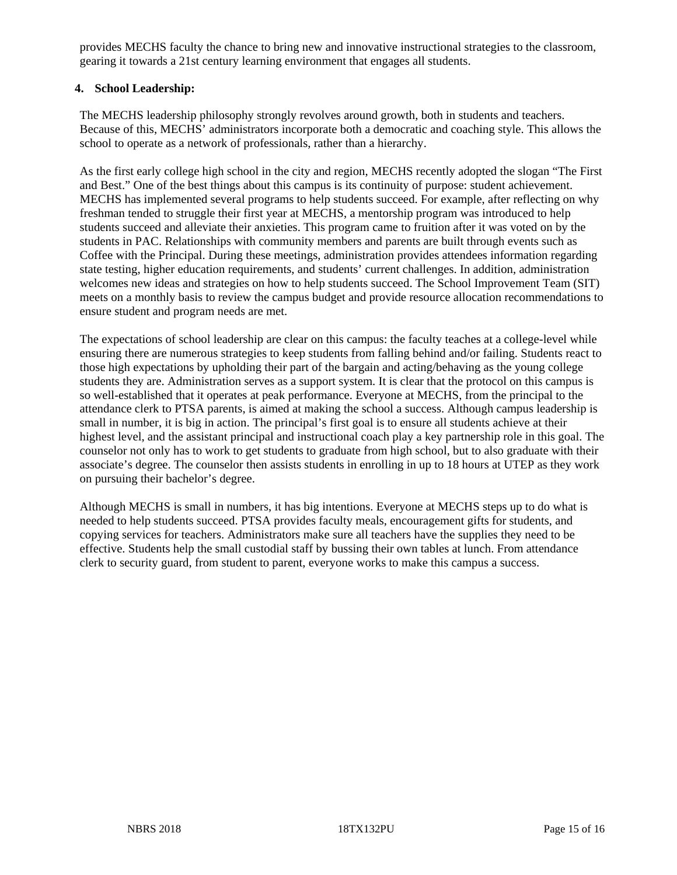provides MECHS faculty the chance to bring new and innovative instructional strategies to the classroom, gearing it towards a 21st century learning environment that engages all students.

## **4. School Leadership:**

The MECHS leadership philosophy strongly revolves around growth, both in students and teachers. Because of this, MECHS' administrators incorporate both a democratic and coaching style. This allows the school to operate as a network of professionals, rather than a hierarchy.

As the first early college high school in the city and region, MECHS recently adopted the slogan "The First and Best." One of the best things about this campus is its continuity of purpose: student achievement. MECHS has implemented several programs to help students succeed. For example, after reflecting on why freshman tended to struggle their first year at MECHS, a mentorship program was introduced to help students succeed and alleviate their anxieties. This program came to fruition after it was voted on by the students in PAC. Relationships with community members and parents are built through events such as Coffee with the Principal. During these meetings, administration provides attendees information regarding state testing, higher education requirements, and students' current challenges. In addition, administration welcomes new ideas and strategies on how to help students succeed. The School Improvement Team (SIT) meets on a monthly basis to review the campus budget and provide resource allocation recommendations to ensure student and program needs are met.

The expectations of school leadership are clear on this campus: the faculty teaches at a college-level while ensuring there are numerous strategies to keep students from falling behind and/or failing. Students react to those high expectations by upholding their part of the bargain and acting/behaving as the young college students they are. Administration serves as a support system. It is clear that the protocol on this campus is so well-established that it operates at peak performance. Everyone at MECHS, from the principal to the attendance clerk to PTSA parents, is aimed at making the school a success. Although campus leadership is small in number, it is big in action. The principal's first goal is to ensure all students achieve at their highest level, and the assistant principal and instructional coach play a key partnership role in this goal. The counselor not only has to work to get students to graduate from high school, but to also graduate with their associate's degree. The counselor then assists students in enrolling in up to 18 hours at UTEP as they work on pursuing their bachelor's degree.

Although MECHS is small in numbers, it has big intentions. Everyone at MECHS steps up to do what is needed to help students succeed. PTSA provides faculty meals, encouragement gifts for students, and copying services for teachers. Administrators make sure all teachers have the supplies they need to be effective. Students help the small custodial staff by bussing their own tables at lunch. From attendance clerk to security guard, from student to parent, everyone works to make this campus a success.